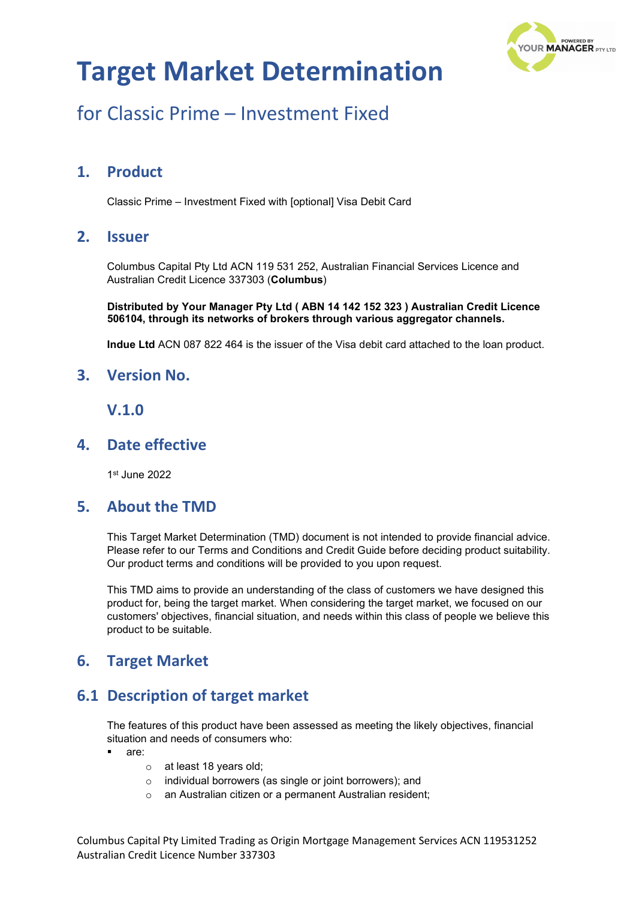

## for Classic Prime – Investment Fixed

## **1. Product**

Classic Prime – Investment Fixed with [optional] Visa Debit Card

### **2. Issuer**

Columbus Capital Pty Ltd ACN 119 531 252, Australian Financial Services Licence and Australian Credit Licence 337303 (**Columbus**)

**Distributed by Your Manager Pty Ltd ( ABN 14 142 152 323 ) Australian Credit Licence 506104, through its networks of brokers through various aggregator channels.**

**Indue Ltd** ACN 087 822 464 is the issuer of the Visa debit card attached to the loan product.

#### **3. Version No.**

#### **V.1.0**

### **4. Date effective**

1st June 2022

#### **5. About the TMD**

This Target Market Determination (TMD) document is not intended to provide financial advice. Please refer to our Terms and Conditions and Credit Guide before deciding product suitability. Our product terms and conditions will be provided to you upon request.

This TMD aims to provide an understanding of the class of customers we have designed this product for, being the target market. When considering the target market, we focused on our customers' objectives, financial situation, and needs within this class of people we believe this product to be suitable.

## **6. Target Market**

## **6.1 Description of target market**

The features of this product have been assessed as meeting the likely objectives, financial situation and needs of consumers who:

- are:
	- o at least 18 years old;
	- o individual borrowers (as single or joint borrowers); and
	- o an Australian citizen or a permanent Australian resident;

Columbus Capital Pty Limited Trading as Origin Mortgage Management Services ACN 119531252 Australian Credit Licence Number 337303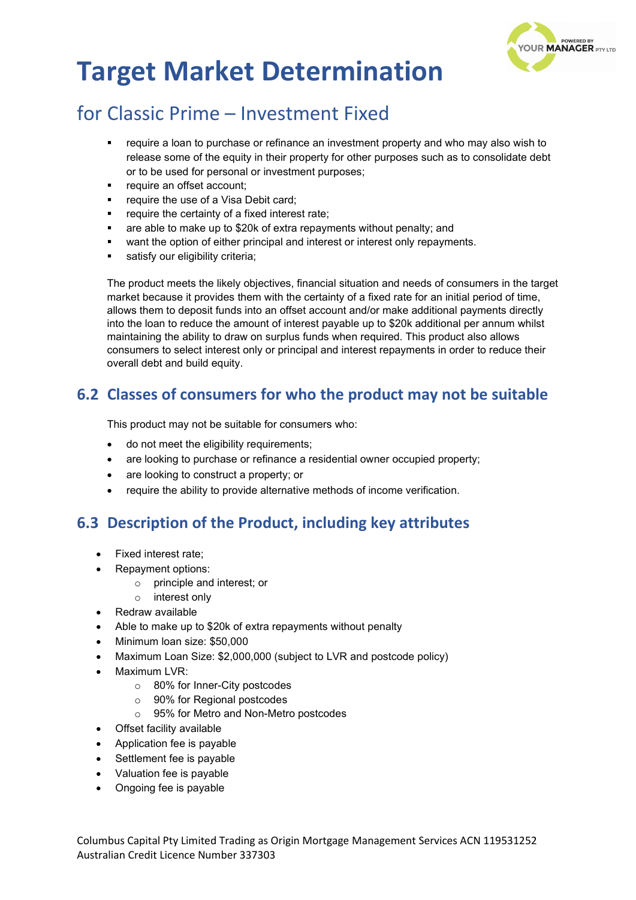

## for Classic Prime – Investment Fixed

- require a loan to purchase or refinance an investment property and who may also wish to release some of the equity in their property for other purposes such as to consolidate debt or to be used for personal or investment purposes;
- require an offset account;
- require the use of a Visa Debit card;
- require the certainty of a fixed interest rate;
- are able to make up to \$20k of extra repayments without penalty; and
- want the option of either principal and interest or interest only repayments.
- satisfy our eligibility criteria:

The product meets the likely objectives, financial situation and needs of consumers in the target market because it provides them with the certainty of a fixed rate for an initial period of time, allows them to deposit funds into an offset account and/or make additional payments directly into the loan to reduce the amount of interest payable up to \$20k additional per annum whilst maintaining the ability to draw on surplus funds when required. This product also allows consumers to select interest only or principal and interest repayments in order to reduce their overall debt and build equity.

## **6.2 Classes of consumers for who the product may not be suitable**

This product may not be suitable for consumers who:

- do not meet the eligibility requirements;
- are looking to purchase or refinance a residential owner occupied property;
- are looking to construct a property; or
- require the ability to provide alternative methods of income verification.

## **6.3 Description of the Product, including key attributes**

- Fixed interest rate;
- Repayment options:
	- o principle and interest; or
	- o interest only
- Redraw available
- Able to make up to \$20k of extra repayments without penalty
- Minimum loan size: \$50,000
- Maximum Loan Size: \$2,000,000 (subject to LVR and postcode policy)
- Maximum LVR:
	- o 80% for Inner-City postcodes
	- o 90% for Regional postcodes
	- o 95% for Metro and Non-Metro postcodes
- Offset facility available
- Application fee is payable
- Settlement fee is payable
- Valuation fee is payable
- Ongoing fee is payable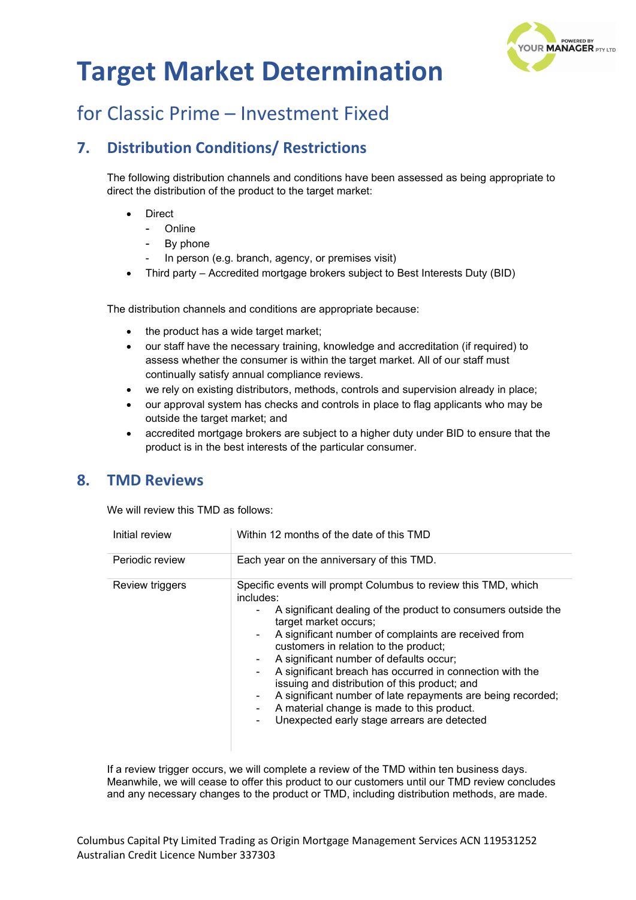

## for Classic Prime – Investment Fixed

## **7. Distribution Conditions/ Restrictions**

The following distribution channels and conditions have been assessed as being appropriate to direct the distribution of the product to the target market:

- **Direct** 
	- **Online**
	- By phone
	- In person (e.g. branch, agency, or premises visit)
- Third party Accredited mortgage brokers subject to Best Interests Duty (BID)

The distribution channels and conditions are appropriate because:

- the product has a wide target market;
- our staff have the necessary training, knowledge and accreditation (if required) to assess whether the consumer is within the target market. All of our staff must continually satisfy annual compliance reviews.
- we rely on existing distributors, methods, controls and supervision already in place;
- our approval system has checks and controls in place to flag applicants who may be outside the target market; and
- accredited mortgage brokers are subject to a higher duty under BID to ensure that the product is in the best interests of the particular consumer.

#### **8. TMD Reviews**

We will review this TMD as follows:

| Initial review  | Within 12 months of the date of this TMD                                                                                                                                                                                                                                                                                                                                                                                                                                                                                                                                                                                         |
|-----------------|----------------------------------------------------------------------------------------------------------------------------------------------------------------------------------------------------------------------------------------------------------------------------------------------------------------------------------------------------------------------------------------------------------------------------------------------------------------------------------------------------------------------------------------------------------------------------------------------------------------------------------|
| Periodic review | Each year on the anniversary of this TMD.                                                                                                                                                                                                                                                                                                                                                                                                                                                                                                                                                                                        |
| Review triggers | Specific events will prompt Columbus to review this TMD, which<br>includes:<br>A significant dealing of the product to consumers outside the<br>۰.<br>target market occurs;<br>A significant number of complaints are received from<br>$\sim$<br>customers in relation to the product;<br>A significant number of defaults occur;<br>۰<br>A significant breach has occurred in connection with the<br>۰.<br>issuing and distribution of this product; and<br>A significant number of late repayments are being recorded;<br>۰<br>A material change is made to this product.<br>Unexpected early stage arrears are detected<br>۰. |

If a review trigger occurs, we will complete a review of the TMD within ten business days. Meanwhile, we will cease to offer this product to our customers until our TMD review concludes and any necessary changes to the product or TMD, including distribution methods, are made.